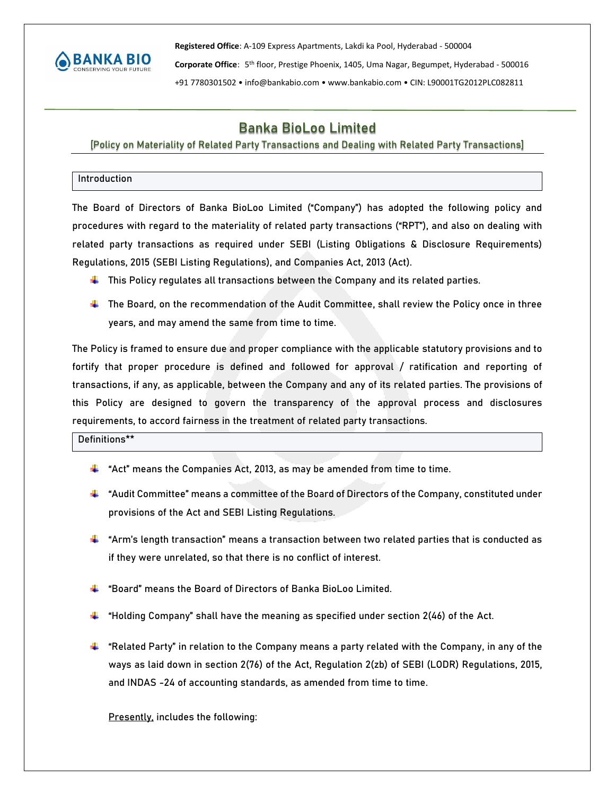

**Registered Office**: A-109 Express Apartments, Lakdi ka Pool, Hyderabad - 500004

Corporate Office: 5<sup>th</sup> floor, Prestige Phoenix, 1405, Uma Nagar, Begumpet, Hyderabad - 500016

+91 7780301502 • info@bankabio.com • www.bankabio.com • CIN: L90001TG2012PLC082811

# **Banka BioLoo Limited**

# [Policy on Materiality of Related Party Transactions and Dealing with Related Party Transactions]

# **Introduction**

The Board of Directors of Banka BioLoo Limited ("Company") has adopted the following policy and procedures with regard to the materiality of related party transactions ("RPT"), and also on dealing with related party transactions as required under SEBI (Listing Obligations & Disclosure Requirements) Regulations, 2015 (SEBI Listing Regulations), and Companies Act, 2013 (Act).

- **This Policy regulates all transactions between the Company and its related parties.**
- The Board, on the recommendation of the Audit Committee, shall review the Policy once in three years, and may amend the same from time to time.

The Policy is framed to ensure due and proper compliance with the applicable statutory provisions and to fortify that proper procedure is defined and followed for approval / ratification and reporting of transactions, if any, as applicable, between the Company and any of its related parties. The provisions of this Policy are designed to govern the transparency of the approval process and disclosures requirements, to accord fairness in the treatment of related party transactions.

**Definitions\*\***

- **"Act"** means the Companies Act, 2013, as may be amended from time to time.
- **"Audit Committee"** means a committee of the Board of Directors of the Company, constituted under provisions of the Act and SEBI Listing Regulations.
- **"Arm's length transaction"** means a transaction between two related parties that is conducted as if they were unrelated, so that there is no conflict of interest.
- **"Board"** means the Board of Directors of Banka BioLoo Limited.
- **"Holding Company"** shall have the meaning as specified under section 2(46) of the Act.
- **"Related Party**" in relation to the Company means a party related with the Company, in any of the ways as laid down in section 2(76) of the Act, Regulation 2(zb) of SEBI (LODR) Regulations, 2015, and INDAS -24 of accounting standards, as amended from time to time.

Presently, includes the following: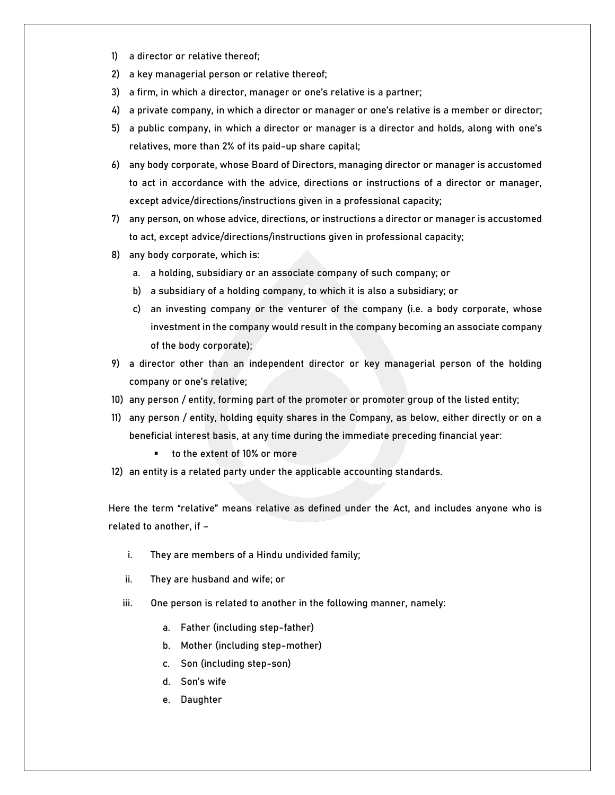- 1) a director or relative thereof;
- 2) a key managerial person or relative thereof;
- 3) a firm, in which a director, manager or one's relative is a partner;
- 4) a private company, in which a director or manager or one's relative is a member or director;
- 5) a public company, in which a director or manager is a director and holds, along with one's relatives, more than 2% of its paid-up share capital;
- 6) any body corporate, whose Board of Directors, managing director or manager is accustomed to act in accordance with the advice, directions or instructions of a director or manager, except advice/directions/instructions given in a professional capacity;
- 7) any person, on whose advice, directions, or instructions a director or manager is accustomed to act, except advice/directions/instructions given in professional capacity;
- 8) any body corporate, which is:
	- a. a holding, subsidiary or an associate company of such company; or
	- b) a subsidiary of a holding company, to which it is also a subsidiary; or
	- c) an investing company or the venturer of the company (i.e. a body corporate, whose investment in the company would result in the company becoming an associate company of the body corporate);
- 9) a director other than an independent director or key managerial person of the holding company or one's relative;
- 10) any person / entity, forming part of the promoter or promoter group of the listed entity;
- 11) any person / entity, holding equity shares in the Company, as below, either directly or on a beneficial interest basis, at any time during the immediate preceding financial year:
	- to the extent of 10% or more
- 12) an entity is a related party under the applicable accounting standards.

Here the term **"relative"** means relative as defined under the Act, and includes anyone who is related to another, if –

- i. They are members of a Hindu undivided family;
- ii. They are husband and wife; or
- iii. One person is related to another in the following manner, namely:
	- a. Father (including step-father)
	- b. Mother (including step-mother)
	- c. Son (including step-son)
	- d. Son's wife
	- e. Daughter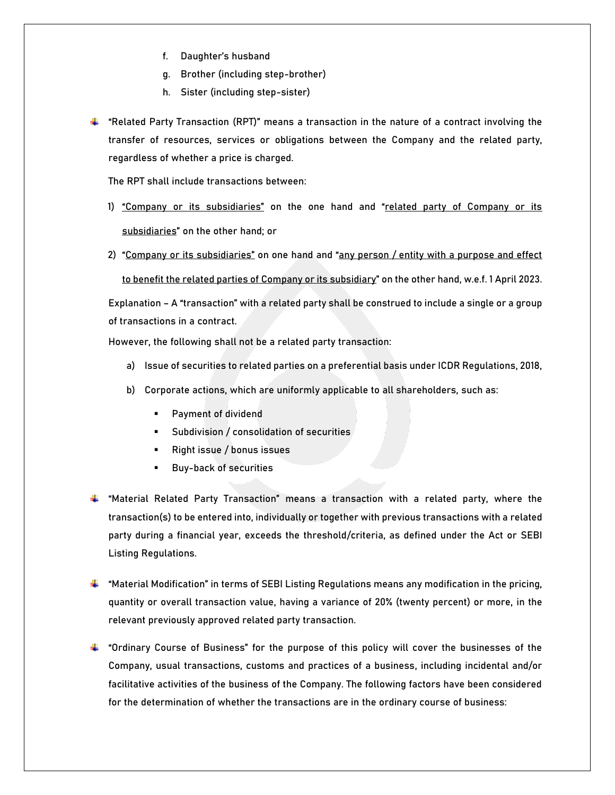- f. Daughter's husband
- g. Brother (including step-brother)
- h. Sister (including step-sister)
- **"Related Party Transaction (RPT)"** means a transaction in the nature of a contract involving the transfer of resources, services or obligations between the Company and the related party, regardless of whether a price is charged.

The RPT shall include transactions between:

- 1) "Company or its subsidiaries" on the one hand and "related party of Company or its subsidiaries" on the other hand; or
- 2) "Company or its subsidiaries" on one hand and "any person / entity with a purpose and effect

to benefit the related parties of Company or its subsidiary" on the other hand, w.e.f. 1 April 2023.

**Explanation –** A "transaction" with a related party shall be construed to include a single or a group of transactions in a contract.

However, the following **shall not be a related party transaction:**

- a) Issue of securities to related parties on a preferential basis under ICDR Regulations, 2018,
- b) Corporate actions, which are uniformly applicable to all shareholders, such as:
	- Payment of dividend
	- **EXECUTE: Subdivision / consolidation of securities**
	- Right issue / bonus issues
	- **Buy-back of securities**
- **"Material Related Party Transaction"** means a transaction with a related party, where the transaction(s) to be entered into, individually or together with previous transactions with a related party during a financial year, exceeds the threshold/criteria, as defined under the Act or SEBI Listing Regulations.
- **"Material Modification"** in terms of SEBI Listing Regulations means any modification in the pricing, quantity or overall transaction value, having **a variance of 20% (twenty percent) or more,** in the relevant previously approved related party transaction.
- **"Ordinary Course of Business"** for the purpose of this policy will cover the businesses of the Company, usual transactions, customs and practices of a business, including incidental and/or facilitative activities of the business of the Company. The following factors have been considered for the determination of whether the transactions are in the ordinary course of business: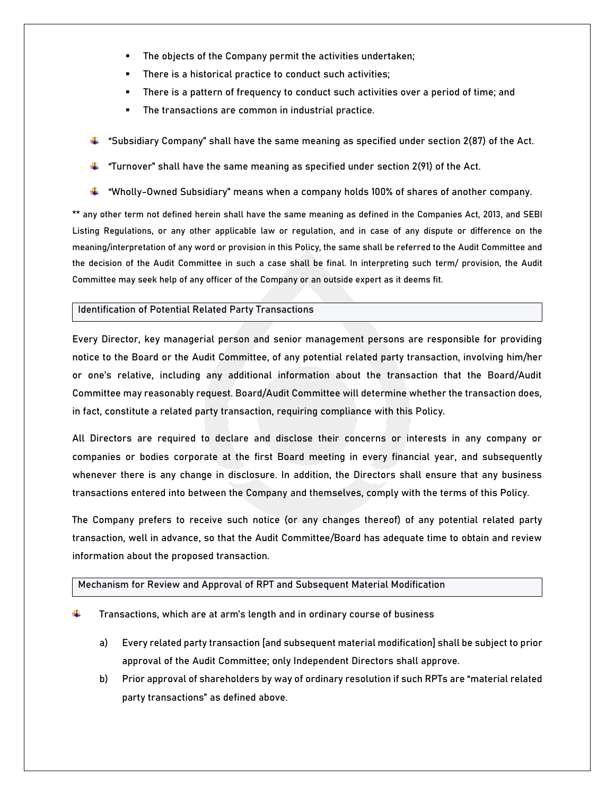- **.** The objects of the Company permit the activities undertaken;
- There is a historical practice to conduct such activities;
- **EXECT** There is a pattern of frequency to conduct such activities over a period of time; and
- The transactions are common in industrial practice.
- **"Subsidiary Company"** shall have the same meaning as specified under section 2(87) of the Act.
- **"Turnover"** shall have the same meaning as specified under section 2(91) of the Act.
- "**Wholly-Owned Subsidiary"** means when a company holds 100% of shares of another company.

\*\* any other term not defined herein shall have the same meaning as defined in the Companies Act, 2013, and SEBI Listing Regulations, or any other applicable law or regulation, and in case of any dispute or difference on the meaning/interpretation of any word or provision in this Policy, the same shall be referred to the Audit Committee and the decision of the Audit Committee in such a case shall be final. In interpreting such term/ provision, the Audit Committee may seek help of any officer of the Company or an outside expert as it deems fit.

# **Identification of Potential Related Party Transactions**

Every Director, key managerial person and senior management persons are responsible for providing notice to the Board or the Audit Committee, of any potential related party transaction, involving him/her or one's relative, including any additional information about the transaction that the Board/Audit Committee may reasonably request. Board/Audit Committee will determine whether the transaction does, in fact, constitute a related party transaction, requiring compliance with this Policy.

All Directors are required to declare and disclose their concerns or interests in any company or companies or bodies corporate at the first Board meeting in every financial year, and subsequently whenever there is any change in disclosure. In addition, the Directors shall ensure that any business transactions entered into between the Company and themselves, comply with the terms of this Policy.

The Company prefers to receive such notice (or any changes thereof) of any potential related party transaction, well in advance, so that the Audit Committee/Board has adequate time to obtain and review information about the proposed transaction.

#### **Mechanism for Review and Approval of RPT and Subsequent Material Modification**

- **Transactions, which are at arm's length and in ordinary course of business**
	- a) Every related party transaction [and subsequent material modification] shall be subject to prior approval of the Audit Committee; only Independent Directors shall approve.
	- b) Prior approval of shareholders by way of **ordinary resolution** if such RPTs are "material related party transactions" as defined above.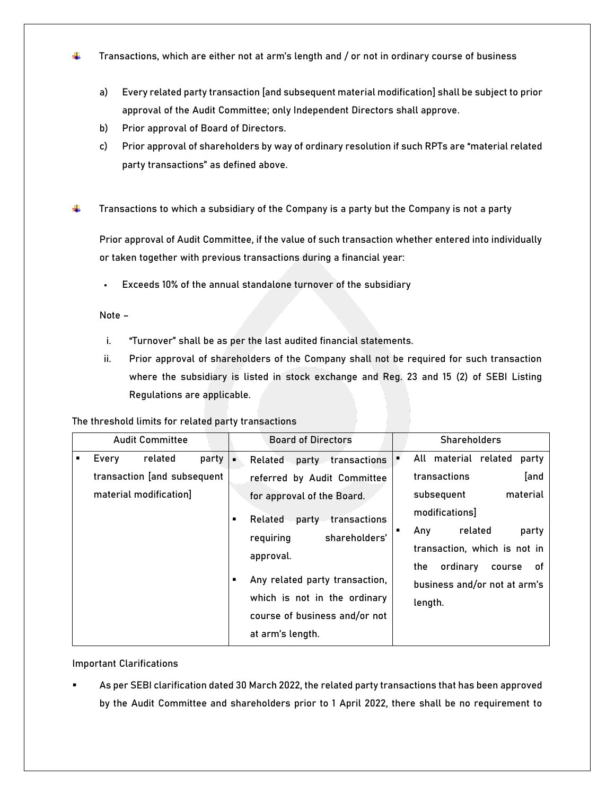- ÷ **Transactions, which are either not at arm's length and / or not in ordinary course of business**
	- a) Every related party transaction [and subsequent material modification] shall be subject to prior approval of the Audit Committee; only Independent Directors shall approve.
	- b) Prior approval of Board of Directors.
	- c) Prior approval of shareholders by way of **ordinary resolution** if such RPTs are "material related party transactions" as defined above.
- ÷ **Transactions to which a subsidiary of the Company is a party but the Company is not a party**

Prior approval of Audit Committee, if the value of such transaction whether entered into individually or taken together with previous transactions during a financial year:

▪ **Exceeds 10%** of the annual **standalone turnover of the subsidiary**

## **Note –**

- i. "Turnover" shall be as per the last audited financial statements.
- ii. Prior approval of shareholders of the Company shall not be required for such transaction where the subsidiary is listed in stock exchange and Reg. 23 and 15 (2) of SEBI Listing Regulations are applicable.

#### **The threshold limits for related party transactions**

| <b>Audit Committee</b> |                                                       |         |       | <b>Board of Directors</b> |                                  |                                |                               |                              | <b>Shareholders</b> |                              |        |          |
|------------------------|-------------------------------------------------------|---------|-------|---------------------------|----------------------------------|--------------------------------|-------------------------------|------------------------------|---------------------|------------------------------|--------|----------|
| ٠                      | Every                                                 | related | party | ٠                         | Related                          |                                | party transactions            |                              |                     | All material related         |        | party    |
|                        | transaction [and subsequent<br>material modification] |         |       |                           |                                  |                                | referred by Audit Committee   |                              |                     | transactions                 |        | [and     |
|                        |                                                       |         |       | п                         | for approval of the Board.       |                                |                               |                              |                     | subsequent                   |        | material |
|                        |                                                       |         |       |                           | Related<br>transactions<br>party | modifications]                 |                               |                              |                     |                              |        |          |
|                        |                                                       |         |       |                           | requiring                        |                                | shareholders'                 | ٠                            | Any                 | related                      |        | party    |
|                        |                                                       |         |       |                           | approval.                        |                                |                               | transaction, which is not in |                     |                              |        |          |
|                        |                                                       |         |       |                           |                                  |                                |                               |                              | the                 | ordinary                     | course | οf       |
|                        |                                                       |         |       | ٠                         |                                  | Any related party transaction, |                               |                              |                     | business and/or not at arm's |        |          |
|                        |                                                       |         |       |                           |                                  |                                | which is not in the ordinary  |                              | length.             |                              |        |          |
|                        |                                                       |         |       |                           |                                  |                                | course of business and/or not |                              |                     |                              |        |          |
|                        |                                                       |         |       |                           | at arm's length.                 |                                |                               |                              |                     |                              |        |          |

#### **Important Clarifications**

As per SEBI clarification dated 30 March 2022, the related party transactions that has been approved by the Audit Committee and shareholders prior to 1 April 2022, there shall be no requirement to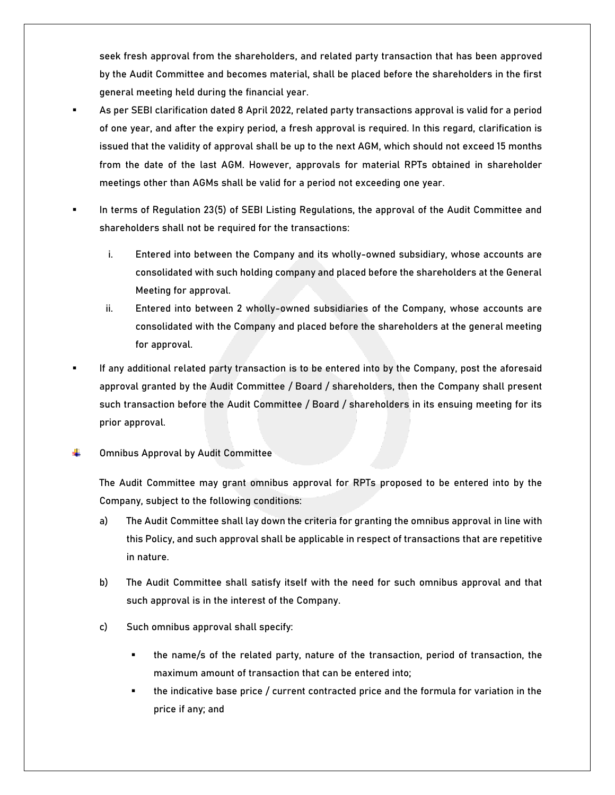seek fresh approval from the shareholders, and related party transaction that has been approved by the Audit Committee and **becomes material, shall be placed before the shareholders in the first general meeting held during the financial year**.

- As per SEBI clarification dated 8 April 2022, related party transactions approval is valid for a period of one year, and after the expiry period, a fresh approval is required. In this regard, clarification is issued that the **validity of approval shall be up to the next AGM**, which should not exceed 15 months from the date of the last AGM. However, **approvals for material RPTs obtained in shareholder meetings other than AGMs shall be valid for a period not exceeding one year.**
- In terms of Regulation 23(5) of SEBI Listing Regulations, the approval of the Audit Committee and shareholders shall not be required for the transactions:
	- i. Entered into between the Company and its wholly-owned subsidiary, whose accounts are consolidated with such holding company and placed before the shareholders at the General Meeting for approval.
	- ii. Entered into between 2 wholly-owned subsidiaries of the Company, whose accounts are consolidated with the Company and placed before the shareholders at the general meeting for approval.
- If any additional related party transaction is to be entered into by the Company, post the aforesaid approval granted by the Audit Committee / Board / shareholders, then the Company shall present such transaction before the Audit Committee / Board / shareholders in its ensuing meeting for its prior approval.
- **Omnibus Approval by Audit Committee** ÷

The Audit Committee may grant omnibus approval for RPTs proposed to be entered into by the Company, subject to the following conditions:

- a) The Audit Committee shall lay down the criteria for granting the omnibus approval in line with this Policy, and such approval shall be applicable in respect of transactions that are repetitive in nature.
- b) The Audit Committee shall satisfy itself with the need for such omnibus approval and that such approval is in the interest of the Company.
- c) Such omnibus approval shall specify:
	- the name/s of the related party, nature of the transaction, period of transaction, the maximum amount of transaction that can be entered into;
	- the indicative base price / current contracted price and the formula for variation in the price if any; and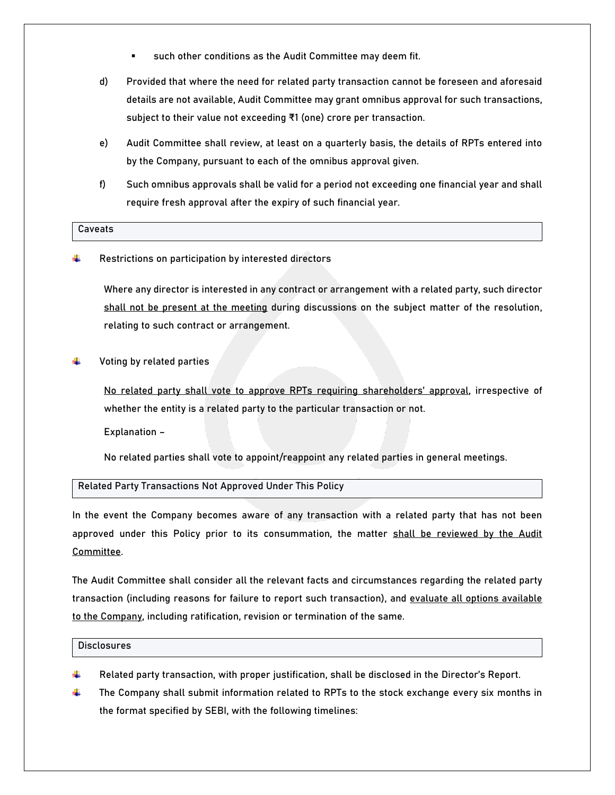- such other conditions as the Audit Committee may deem fit.
- d) Provided that where the need for related party transaction cannot be foreseen and aforesaid details are not available, Audit Committee may grant omnibus approval for such transactions, subject to their value not exceeding ₹1 (one) crore per transaction.
- e) Audit Committee shall review, at least on a quarterly basis, the details of RPTs entered into by the Company, pursuant to each of the omnibus approval given.
- f) Such omnibus approvals shall be valid for a period not exceeding one financial year and shall require fresh approval after the expiry of such financial year.

#### **Caveats**

**Restrictions on participation by interested directors**

Where any director is interested in any contract or arrangement with a related party, such director shall not be present at the meeting during discussions on the subject matter of the resolution, relating to such contract or arrangement.

**Voting by related parties**

No related party shall vote to approve RPTs requiring shareholders' approval, irrespective of whether the entity is a related party to the particular transaction or not.

**Explanation –**

No related parties shall vote to appoint/reappoint any related parties in general meetings.

**Related Party Transactions Not Approved Under This Policy**

In the event the Company becomes aware of any transaction with a related party that has not been approved under this Policy prior to its consummation, the matter shall be reviewed by the Audit Committee.

The Audit Committee shall consider all the relevant facts and circumstances regarding the related party transaction (including reasons for failure to report such transaction), and evaluate all options available to the Company, including ratification, revision or termination of the same.

#### **Disclosures**

- Related party transaction, with proper justification, shall be disclosed in the Director's Report.
- The Company shall submit information related to RPTs to the stock exchange every six months in the format specified by SEBI, with the following timelines: